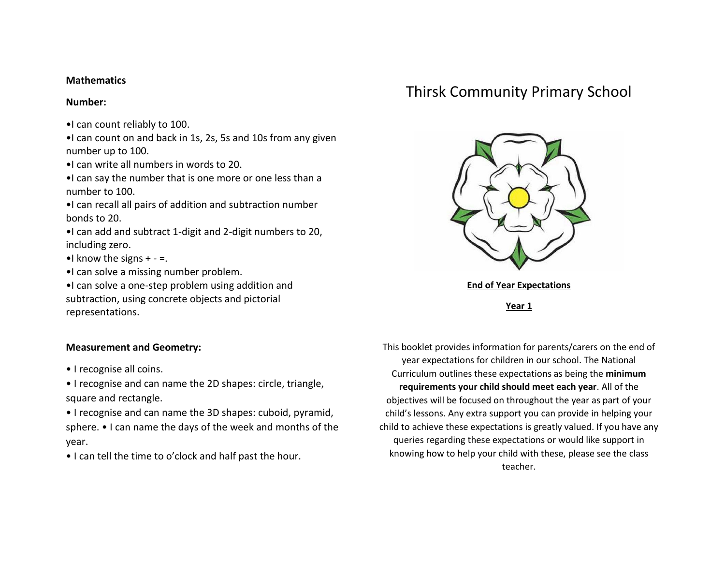### **Mathematics**

#### **Number:**

- •I can count reliably to 100.
- •I can count on and back in 1s, 2s, 5s and 10s from any given number up to 100.
- •I can write all numbers in words to 20.
- •I can say the number that is one more or one less than a number to 100.
- •I can recall all pairs of addition and subtraction number bonds to 20.
- •I can add and subtract 1-digit and 2-digit numbers to 20, including zero.
- $\bullet$ I know the signs  $+ =$ .
- •I can solve a missing number problem.
- •I can solve a one-step problem using addition and subtraction, using concrete objects and pictorial representations.

# **Measurement and Geometry:**

- I recognise all coins.
- I recognise and can name the 2D shapes: circle, triangle, square and rectangle.
- I recognise and can name the 3D shapes: cuboid, pyramid, sphere. • I can name the days of the week and months of the year.
- I can tell the time to o'clock and half past the hour.

# Thirsk Community Primary School



**Year 1**

This booklet provides information for parents/carers on the end of year expectations for children in our school. The National Curriculum outlines these expectations as being the **minimum requirements your child should meet each year**. All of the objectives will be focused on throughout the year as part of your child's lessons. Any extra support you can provide in helping your child to achieve these expectations is greatly valued. If you have any queries regarding these expectations or would like support in knowing how to help your child with these, please see the class teacher.